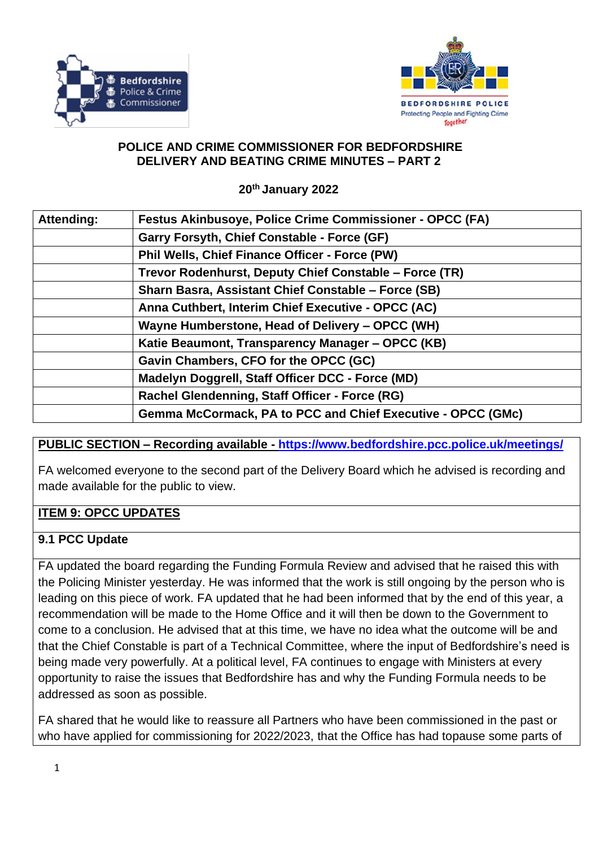



#### **POLICE AND CRIME COMMISSIONER FOR BEDFORDSHIRE DELIVERY AND BEATING CRIME MINUTES – PART 2**

**20th January 2022**

| Attending: | <b>Festus Akinbusoye, Police Crime Commissioner - OPCC (FA)</b> |
|------------|-----------------------------------------------------------------|
|            | Garry Forsyth, Chief Constable - Force (GF)                     |
|            | <b>Phil Wells, Chief Finance Officer - Force (PW)</b>           |
|            | Trevor Rodenhurst, Deputy Chief Constable – Force (TR)          |
|            | Sharn Basra, Assistant Chief Constable - Force (SB)             |
|            | Anna Cuthbert, Interim Chief Executive - OPCC (AC)              |
|            | Wayne Humberstone, Head of Delivery - OPCC (WH)                 |
|            | Katie Beaumont, Transparency Manager - OPCC (KB)                |
|            | Gavin Chambers, CFO for the OPCC (GC)                           |
|            | Madelyn Doggrell, Staff Officer DCC - Force (MD)                |
|            | Rachel Glendenning, Staff Officer - Force (RG)                  |
|            | Gemma McCormack, PA to PCC and Chief Executive - OPCC (GMc)     |

## **PUBLIC SECTION – Recording available - <https://www.bedfordshire.pcc.police.uk/meetings/>**

FA welcomed everyone to the second part of the Delivery Board which he advised is recording and made available for the public to view.

### **ITEM 9: OPCC UPDATES**

### **9.1 PCC Update**

FA updated the board regarding the Funding Formula Review and advised that he raised this with the Policing Minister yesterday. He was informed that the work is still ongoing by the person who is leading on this piece of work. FA updated that he had been informed that by the end of this year, a recommendation will be made to the Home Office and it will then be down to the Government to come to a conclusion. He advised that at this time, we have no idea what the outcome will be and that the Chief Constable is part of a Technical Committee, where the input of Bedfordshire's need is being made very powerfully. At a political level, FA continues to engage with Ministers at every opportunity to raise the issues that Bedfordshire has and why the Funding Formula needs to be addressed as soon as possible.

FA shared that he would like to reassure all Partners who have been commissioned in the past or who have applied for commissioning for 2022/2023, that the Office has had topause some parts of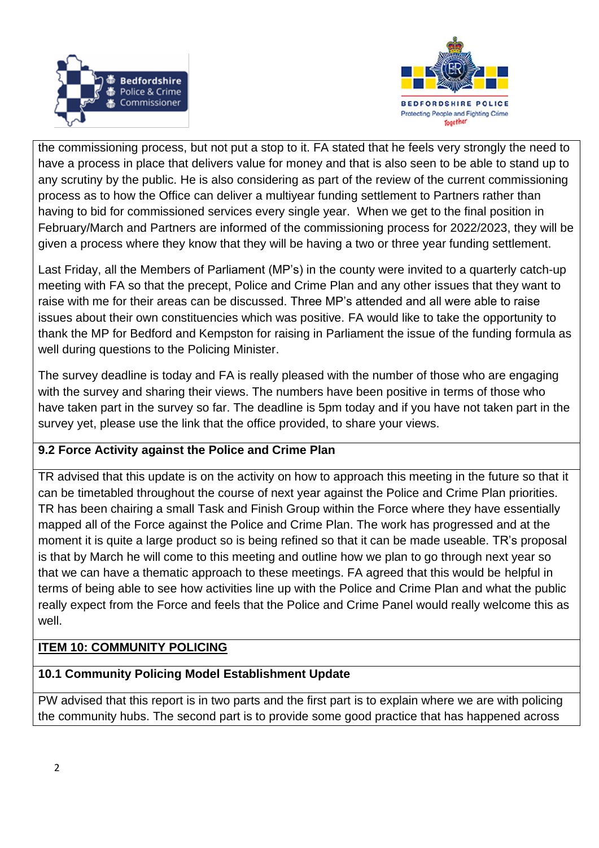



the commissioning process, but not put a stop to it. FA stated that he feels very strongly the need to have a process in place that delivers value for money and that is also seen to be able to stand up to any scrutiny by the public. He is also considering as part of the review of the current commissioning process as to how the Office can deliver a multiyear funding settlement to Partners rather than having to bid for commissioned services every single year. When we get to the final position in February/March and Partners are informed of the commissioning process for 2022/2023, they will be given a process where they know that they will be having a two or three year funding settlement.

Last Friday, all the Members of Parliament (MP's) in the county were invited to a quarterly catch-up meeting with FA so that the precept, Police and Crime Plan and any other issues that they want to raise with me for their areas can be discussed. Three MP's attended and all were able to raise issues about their own constituencies which was positive. FA would like to take the opportunity to thank the MP for Bedford and Kempston for raising in Parliament the issue of the funding formula as well during questions to the Policing Minister.

The survey deadline is today and FA is really pleased with the number of those who are engaging with the survey and sharing their views. The numbers have been positive in terms of those who have taken part in the survey so far. The deadline is 5pm today and if you have not taken part in the survey yet, please use the link that the office provided, to share your views.

## **9.2 Force Activity against the Police and Crime Plan**

TR advised that this update is on the activity on how to approach this meeting in the future so that it can be timetabled throughout the course of next year against the Police and Crime Plan priorities. TR has been chairing a small Task and Finish Group within the Force where they have essentially mapped all of the Force against the Police and Crime Plan. The work has progressed and at the moment it is quite a large product so is being refined so that it can be made useable. TR's proposal is that by March he will come to this meeting and outline how we plan to go through next year so that we can have a thematic approach to these meetings. FA agreed that this would be helpful in terms of being able to see how activities line up with the Police and Crime Plan and what the public really expect from the Force and feels that the Police and Crime Panel would really welcome this as well.

## **ITEM 10: COMMUNITY POLICING**

### **10.1 Community Policing Model Establishment Update**

PW advised that this report is in two parts and the first part is to explain where we are with policing the community hubs. The second part is to provide some good practice that has happened across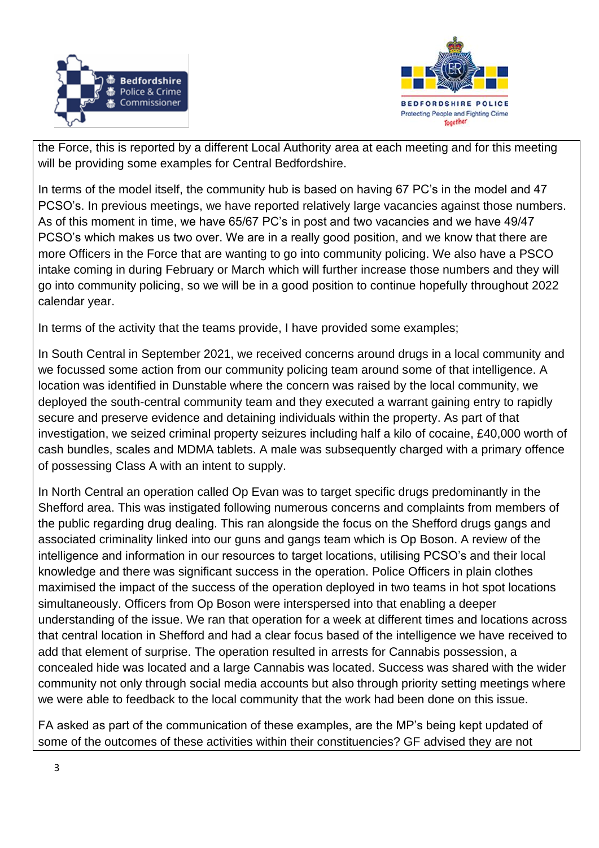



the Force, this is reported by a different Local Authority area at each meeting and for this meeting will be providing some examples for Central Bedfordshire.

In terms of the model itself, the community hub is based on having 67 PC's in the model and 47 PCSO's. In previous meetings, we have reported relatively large vacancies against those numbers. As of this moment in time, we have 65/67 PC's in post and two vacancies and we have 49/47 PCSO's which makes us two over. We are in a really good position, and we know that there are more Officers in the Force that are wanting to go into community policing. We also have a PSCO intake coming in during February or March which will further increase those numbers and they will go into community policing, so we will be in a good position to continue hopefully throughout 2022 calendar year.

In terms of the activity that the teams provide, I have provided some examples;

In South Central in September 2021, we received concerns around drugs in a local community and we focussed some action from our community policing team around some of that intelligence. A location was identified in Dunstable where the concern was raised by the local community, we deployed the south-central community team and they executed a warrant gaining entry to rapidly secure and preserve evidence and detaining individuals within the property. As part of that investigation, we seized criminal property seizures including half a kilo of cocaine, £40,000 worth of cash bundles, scales and MDMA tablets. A male was subsequently charged with a primary offence of possessing Class A with an intent to supply.

In North Central an operation called Op Evan was to target specific drugs predominantly in the Shefford area. This was instigated following numerous concerns and complaints from members of the public regarding drug dealing. This ran alongside the focus on the Shefford drugs gangs and associated criminality linked into our guns and gangs team which is Op Boson. A review of the intelligence and information in our resources to target locations, utilising PCSO's and their local knowledge and there was significant success in the operation. Police Officers in plain clothes maximised the impact of the success of the operation deployed in two teams in hot spot locations simultaneously. Officers from Op Boson were interspersed into that enabling a deeper understanding of the issue. We ran that operation for a week at different times and locations across that central location in Shefford and had a clear focus based of the intelligence we have received to add that element of surprise. The operation resulted in arrests for Cannabis possession, a concealed hide was located and a large Cannabis was located. Success was shared with the wider community not only through social media accounts but also through priority setting meetings where we were able to feedback to the local community that the work had been done on this issue.

FA asked as part of the communication of these examples, are the MP's being kept updated of some of the outcomes of these activities within their constituencies? GF advised they are not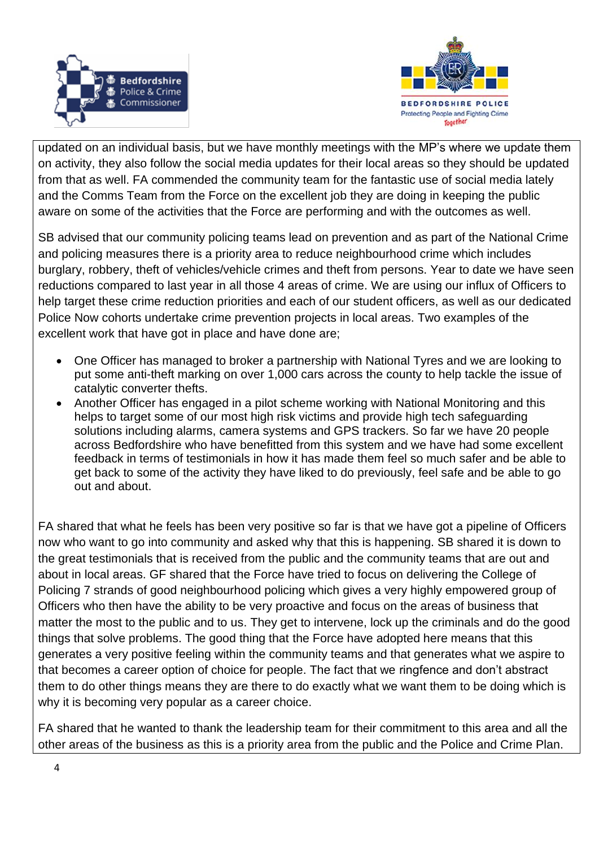



updated on an individual basis, but we have monthly meetings with the MP's where we update them on activity, they also follow the social media updates for their local areas so they should be updated from that as well. FA commended the community team for the fantastic use of social media lately and the Comms Team from the Force on the excellent job they are doing in keeping the public aware on some of the activities that the Force are performing and with the outcomes as well.

SB advised that our community policing teams lead on prevention and as part of the National Crime and policing measures there is a priority area to reduce neighbourhood crime which includes burglary, robbery, theft of vehicles/vehicle crimes and theft from persons. Year to date we have seen reductions compared to last year in all those 4 areas of crime. We are using our influx of Officers to help target these crime reduction priorities and each of our student officers, as well as our dedicated Police Now cohorts undertake crime prevention projects in local areas. Two examples of the excellent work that have got in place and have done are;

- One Officer has managed to broker a partnership with National Tyres and we are looking to put some anti-theft marking on over 1,000 cars across the county to help tackle the issue of catalytic converter thefts.
- Another Officer has engaged in a pilot scheme working with National Monitoring and this helps to target some of our most high risk victims and provide high tech safeguarding solutions including alarms, camera systems and GPS trackers. So far we have 20 people across Bedfordshire who have benefitted from this system and we have had some excellent feedback in terms of testimonials in how it has made them feel so much safer and be able to get back to some of the activity they have liked to do previously, feel safe and be able to go out and about.

FA shared that what he feels has been very positive so far is that we have got a pipeline of Officers now who want to go into community and asked why that this is happening. SB shared it is down to the great testimonials that is received from the public and the community teams that are out and about in local areas. GF shared that the Force have tried to focus on delivering the College of Policing 7 strands of good neighbourhood policing which gives a very highly empowered group of Officers who then have the ability to be very proactive and focus on the areas of business that matter the most to the public and to us. They get to intervene, lock up the criminals and do the good things that solve problems. The good thing that the Force have adopted here means that this generates a very positive feeling within the community teams and that generates what we aspire to that becomes a career option of choice for people. The fact that we ringfence and don't abstract them to do other things means they are there to do exactly what we want them to be doing which is why it is becoming very popular as a career choice.

FA shared that he wanted to thank the leadership team for their commitment to this area and all the other areas of the business as this is a priority area from the public and the Police and Crime Plan.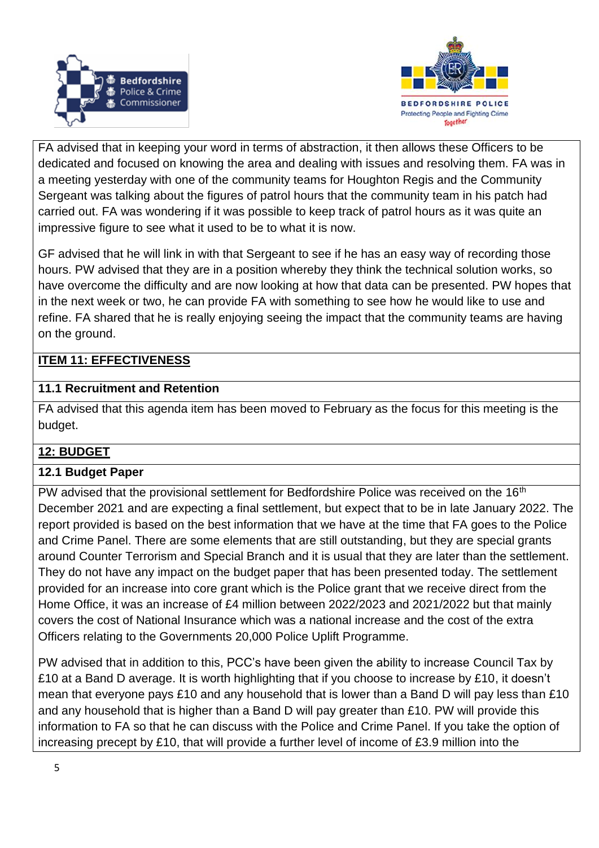



FA advised that in keeping your word in terms of abstraction, it then allows these Officers to be dedicated and focused on knowing the area and dealing with issues and resolving them. FA was in a meeting yesterday with one of the community teams for Houghton Regis and the Community Sergeant was talking about the figures of patrol hours that the community team in his patch had carried out. FA was wondering if it was possible to keep track of patrol hours as it was quite an impressive figure to see what it used to be to what it is now.

GF advised that he will link in with that Sergeant to see if he has an easy way of recording those hours. PW advised that they are in a position whereby they think the technical solution works, so have overcome the difficulty and are now looking at how that data can be presented. PW hopes that in the next week or two, he can provide FA with something to see how he would like to use and refine. FA shared that he is really enjoying seeing the impact that the community teams are having on the ground.

## **ITEM 11: EFFECTIVENESS**

### **11.1 Recruitment and Retention**

FA advised that this agenda item has been moved to February as the focus for this meeting is the budget.

## **12: BUDGET**

### **12.1 Budget Paper**

PW advised that the provisional settlement for Bedfordshire Police was received on the 16<sup>th</sup> December 2021 and are expecting a final settlement, but expect that to be in late January 2022. The report provided is based on the best information that we have at the time that FA goes to the Police and Crime Panel. There are some elements that are still outstanding, but they are special grants around Counter Terrorism and Special Branch and it is usual that they are later than the settlement. They do not have any impact on the budget paper that has been presented today. The settlement provided for an increase into core grant which is the Police grant that we receive direct from the Home Office, it was an increase of £4 million between 2022/2023 and 2021/2022 but that mainly covers the cost of National Insurance which was a national increase and the cost of the extra Officers relating to the Governments 20,000 Police Uplift Programme.

PW advised that in addition to this, PCC's have been given the ability to increase Council Tax by £10 at a Band D average. It is worth highlighting that if you choose to increase by £10, it doesn't mean that everyone pays £10 and any household that is lower than a Band D will pay less than £10 and any household that is higher than a Band D will pay greater than £10. PW will provide this information to FA so that he can discuss with the Police and Crime Panel. If you take the option of increasing precept by £10, that will provide a further level of income of £3.9 million into the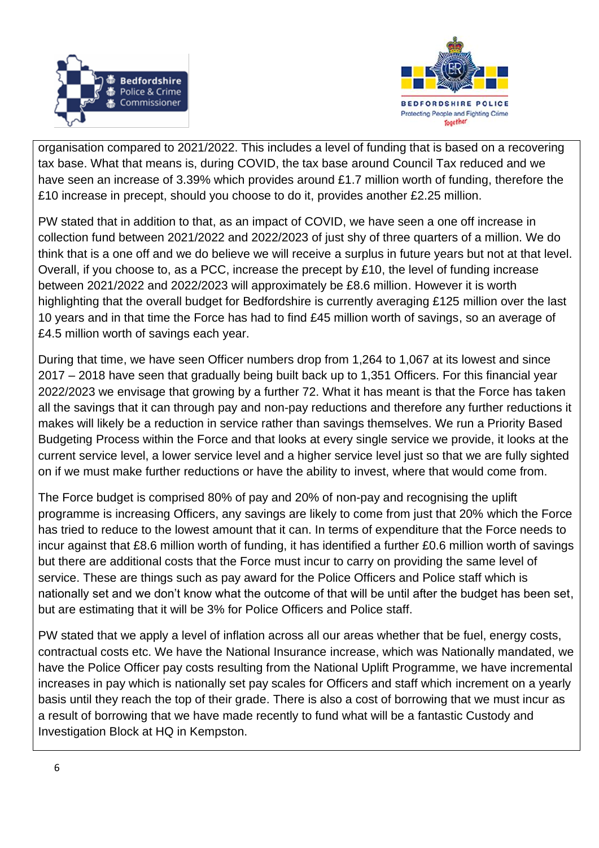



organisation compared to 2021/2022. This includes a level of funding that is based on a recovering tax base. What that means is, during COVID, the tax base around Council Tax reduced and we have seen an increase of 3.39% which provides around £1.7 million worth of funding, therefore the £10 increase in precept, should you choose to do it, provides another £2.25 million.

PW stated that in addition to that, as an impact of COVID, we have seen a one off increase in collection fund between 2021/2022 and 2022/2023 of just shy of three quarters of a million. We do think that is a one off and we do believe we will receive a surplus in future years but not at that level. Overall, if you choose to, as a PCC, increase the precept by £10, the level of funding increase between 2021/2022 and 2022/2023 will approximately be £8.6 million. However it is worth highlighting that the overall budget for Bedfordshire is currently averaging £125 million over the last 10 years and in that time the Force has had to find £45 million worth of savings, so an average of £4.5 million worth of savings each year.

During that time, we have seen Officer numbers drop from 1,264 to 1,067 at its lowest and since 2017 – 2018 have seen that gradually being built back up to 1,351 Officers. For this financial year 2022/2023 we envisage that growing by a further 72. What it has meant is that the Force has taken all the savings that it can through pay and non-pay reductions and therefore any further reductions it makes will likely be a reduction in service rather than savings themselves. We run a Priority Based Budgeting Process within the Force and that looks at every single service we provide, it looks at the current service level, a lower service level and a higher service level just so that we are fully sighted on if we must make further reductions or have the ability to invest, where that would come from.

The Force budget is comprised 80% of pay and 20% of non-pay and recognising the uplift programme is increasing Officers, any savings are likely to come from just that 20% which the Force has tried to reduce to the lowest amount that it can. In terms of expenditure that the Force needs to incur against that £8.6 million worth of funding, it has identified a further £0.6 million worth of savings but there are additional costs that the Force must incur to carry on providing the same level of service. These are things such as pay award for the Police Officers and Police staff which is nationally set and we don't know what the outcome of that will be until after the budget has been set, but are estimating that it will be 3% for Police Officers and Police staff.

PW stated that we apply a level of inflation across all our areas whether that be fuel, energy costs, contractual costs etc. We have the National Insurance increase, which was Nationally mandated, we have the Police Officer pay costs resulting from the National Uplift Programme, we have incremental increases in pay which is nationally set pay scales for Officers and staff which increment on a yearly basis until they reach the top of their grade. There is also a cost of borrowing that we must incur as a result of borrowing that we have made recently to fund what will be a fantastic Custody and Investigation Block at HQ in Kempston.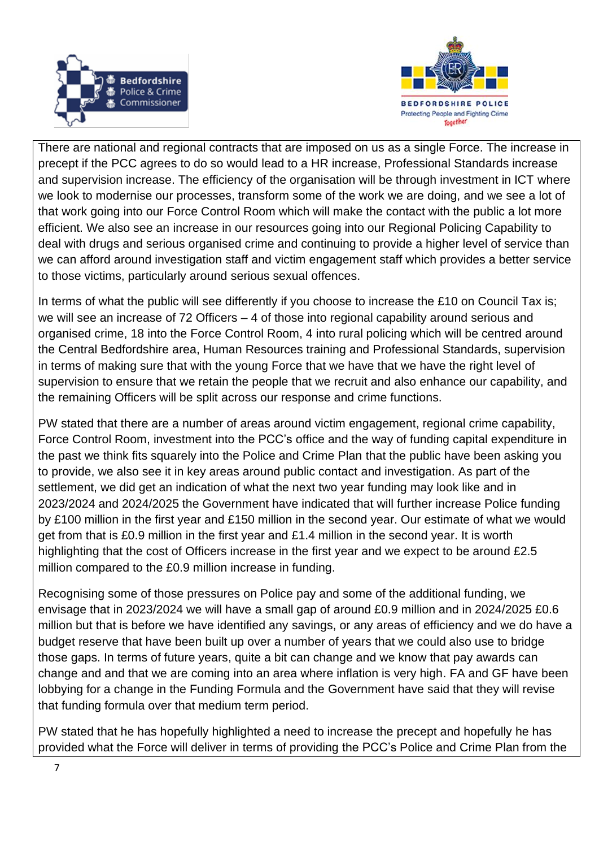



There are national and regional contracts that are imposed on us as a single Force. The increase in precept if the PCC agrees to do so would lead to a HR increase, Professional Standards increase and supervision increase. The efficiency of the organisation will be through investment in ICT where we look to modernise our processes, transform some of the work we are doing, and we see a lot of that work going into our Force Control Room which will make the contact with the public a lot more efficient. We also see an increase in our resources going into our Regional Policing Capability to deal with drugs and serious organised crime and continuing to provide a higher level of service than we can afford around investigation staff and victim engagement staff which provides a better service to those victims, particularly around serious sexual offences.

In terms of what the public will see differently if you choose to increase the £10 on Council Tax is; we will see an increase of 72 Officers – 4 of those into regional capability around serious and organised crime, 18 into the Force Control Room, 4 into rural policing which will be centred around the Central Bedfordshire area, Human Resources training and Professional Standards, supervision in terms of making sure that with the young Force that we have that we have the right level of supervision to ensure that we retain the people that we recruit and also enhance our capability, and the remaining Officers will be split across our response and crime functions.

PW stated that there are a number of areas around victim engagement, regional crime capability, Force Control Room, investment into the PCC's office and the way of funding capital expenditure in the past we think fits squarely into the Police and Crime Plan that the public have been asking you to provide, we also see it in key areas around public contact and investigation. As part of the settlement, we did get an indication of what the next two year funding may look like and in 2023/2024 and 2024/2025 the Government have indicated that will further increase Police funding by £100 million in the first year and £150 million in the second year. Our estimate of what we would get from that is £0.9 million in the first year and £1.4 million in the second year. It is worth highlighting that the cost of Officers increase in the first year and we expect to be around £2.5 million compared to the £0.9 million increase in funding.

Recognising some of those pressures on Police pay and some of the additional funding, we envisage that in 2023/2024 we will have a small gap of around £0.9 million and in 2024/2025 £0.6 million but that is before we have identified any savings, or any areas of efficiency and we do have a budget reserve that have been built up over a number of years that we could also use to bridge those gaps. In terms of future years, quite a bit can change and we know that pay awards can change and and that we are coming into an area where inflation is very high. FA and GF have been lobbying for a change in the Funding Formula and the Government have said that they will revise that funding formula over that medium term period.

PW stated that he has hopefully highlighted a need to increase the precept and hopefully he has provided what the Force will deliver in terms of providing the PCC's Police and Crime Plan from the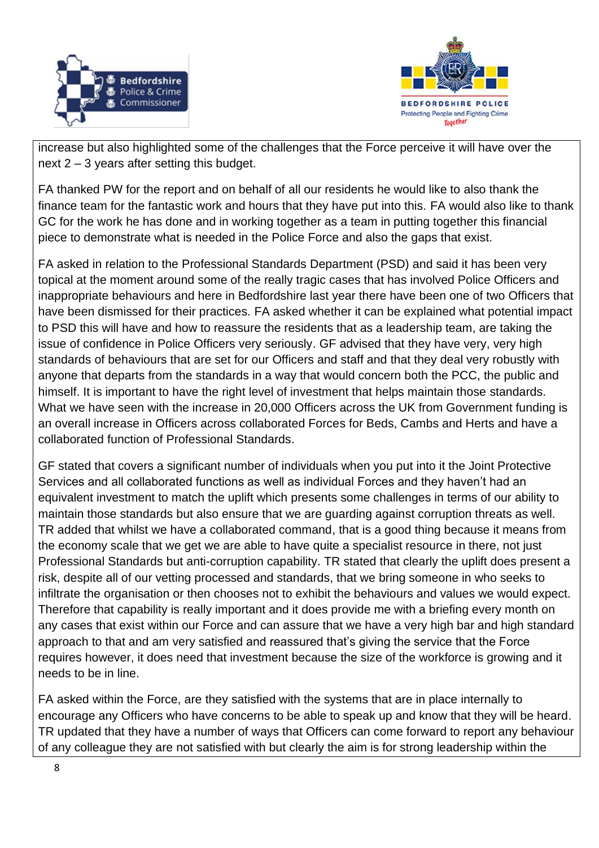



increase but also highlighted some of the challenges that the Force perceive it will have over the next 2 – 3 years after setting this budget.

FA thanked PW for the report and on behalf of all our residents he would like to also thank the finance team for the fantastic work and hours that they have put into this. FA would also like to thank GC for the work he has done and in working together as a team in putting together this financial piece to demonstrate what is needed in the Police Force and also the gaps that exist.

FA asked in relation to the Professional Standards Department (PSD) and said it has been very topical at the moment around some of the really tragic cases that has involved Police Officers and inappropriate behaviours and here in Bedfordshire last year there have been one of two Officers that have been dismissed for their practices. FA asked whether it can be explained what potential impact to PSD this will have and how to reassure the residents that as a leadership team, are taking the issue of confidence in Police Officers very seriously. GF advised that they have very, very high standards of behaviours that are set for our Officers and staff and that they deal very robustly with anyone that departs from the standards in a way that would concern both the PCC, the public and himself. It is important to have the right level of investment that helps maintain those standards. What we have seen with the increase in 20,000 Officers across the UK from Government funding is an overall increase in Officers across collaborated Forces for Beds, Cambs and Herts and have a collaborated function of Professional Standards.

GF stated that covers a significant number of individuals when you put into it the Joint Protective Services and all collaborated functions as well as individual Forces and they haven't had an equivalent investment to match the uplift which presents some challenges in terms of our ability to maintain those standards but also ensure that we are guarding against corruption threats as well. TR added that whilst we have a collaborated command, that is a good thing because it means from the economy scale that we get we are able to have quite a specialist resource in there, not just Professional Standards but anti-corruption capability. TR stated that clearly the uplift does present a risk, despite all of our vetting processed and standards, that we bring someone in who seeks to infiltrate the organisation or then chooses not to exhibit the behaviours and values we would expect. Therefore that capability is really important and it does provide me with a briefing every month on any cases that exist within our Force and can assure that we have a very high bar and high standard approach to that and am very satisfied and reassured that's giving the service that the Force requires however, it does need that investment because the size of the workforce is growing and it needs to be in line.

FA asked within the Force, are they satisfied with the systems that are in place internally to encourage any Officers who have concerns to be able to speak up and know that they will be heard. TR updated that they have a number of ways that Officers can come forward to report any behaviour of any colleague they are not satisfied with but clearly the aim is for strong leadership within the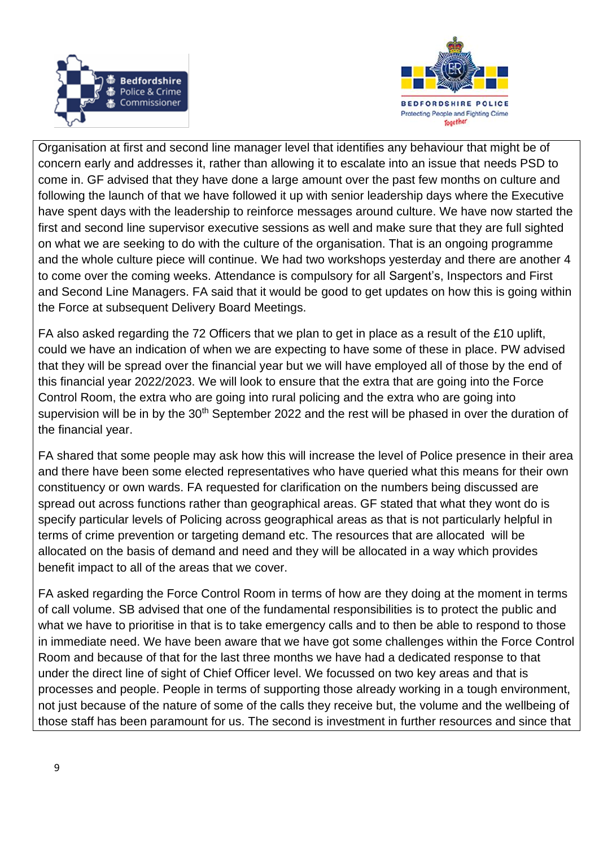



Organisation at first and second line manager level that identifies any behaviour that might be of concern early and addresses it, rather than allowing it to escalate into an issue that needs PSD to come in. GF advised that they have done a large amount over the past few months on culture and following the launch of that we have followed it up with senior leadership days where the Executive have spent days with the leadership to reinforce messages around culture. We have now started the first and second line supervisor executive sessions as well and make sure that they are full sighted on what we are seeking to do with the culture of the organisation. That is an ongoing programme and the whole culture piece will continue. We had two workshops yesterday and there are another 4 to come over the coming weeks. Attendance is compulsory for all Sargent's, Inspectors and First and Second Line Managers. FA said that it would be good to get updates on how this is going within the Force at subsequent Delivery Board Meetings.

FA also asked regarding the 72 Officers that we plan to get in place as a result of the £10 uplift, could we have an indication of when we are expecting to have some of these in place. PW advised that they will be spread over the financial year but we will have employed all of those by the end of this financial year 2022/2023. We will look to ensure that the extra that are going into the Force Control Room, the extra who are going into rural policing and the extra who are going into supervision will be in by the 30<sup>th</sup> September 2022 and the rest will be phased in over the duration of the financial year.

FA shared that some people may ask how this will increase the level of Police presence in their area and there have been some elected representatives who have queried what this means for their own constituency or own wards. FA requested for clarification on the numbers being discussed are spread out across functions rather than geographical areas. GF stated that what they wont do is specify particular levels of Policing across geographical areas as that is not particularly helpful in terms of crime prevention or targeting demand etc. The resources that are allocated will be allocated on the basis of demand and need and they will be allocated in a way which provides benefit impact to all of the areas that we cover.

FA asked regarding the Force Control Room in terms of how are they doing at the moment in terms of call volume. SB advised that one of the fundamental responsibilities is to protect the public and what we have to prioritise in that is to take emergency calls and to then be able to respond to those in immediate need. We have been aware that we have got some challenges within the Force Control Room and because of that for the last three months we have had a dedicated response to that under the direct line of sight of Chief Officer level. We focussed on two key areas and that is processes and people. People in terms of supporting those already working in a tough environment, not just because of the nature of some of the calls they receive but, the volume and the wellbeing of those staff has been paramount for us. The second is investment in further resources and since that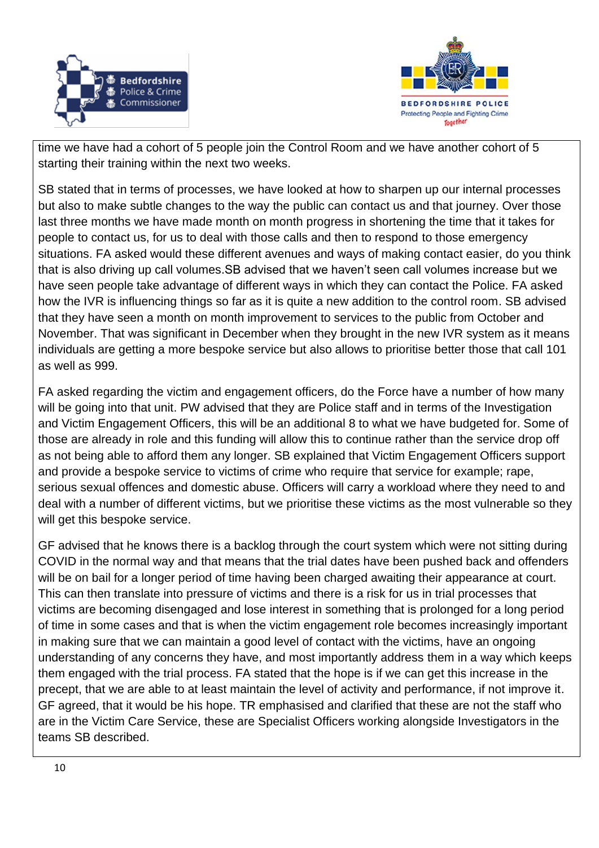



time we have had a cohort of 5 people join the Control Room and we have another cohort of 5 starting their training within the next two weeks.

SB stated that in terms of processes, we have looked at how to sharpen up our internal processes but also to make subtle changes to the way the public can contact us and that journey. Over those last three months we have made month on month progress in shortening the time that it takes for people to contact us, for us to deal with those calls and then to respond to those emergency situations. FA asked would these different avenues and ways of making contact easier, do you think that is also driving up call volumes.SB advised that we haven't seen call volumes increase but we have seen people take advantage of different ways in which they can contact the Police. FA asked how the IVR is influencing things so far as it is quite a new addition to the control room. SB advised that they have seen a month on month improvement to services to the public from October and November. That was significant in December when they brought in the new IVR system as it means individuals are getting a more bespoke service but also allows to prioritise better those that call 101 as well as 999.

FA asked regarding the victim and engagement officers, do the Force have a number of how many will be going into that unit. PW advised that they are Police staff and in terms of the Investigation and Victim Engagement Officers, this will be an additional 8 to what we have budgeted for. Some of those are already in role and this funding will allow this to continue rather than the service drop off as not being able to afford them any longer. SB explained that Victim Engagement Officers support and provide a bespoke service to victims of crime who require that service for example; rape, serious sexual offences and domestic abuse. Officers will carry a workload where they need to and deal with a number of different victims, but we prioritise these victims as the most vulnerable so they will get this bespoke service.

GF advised that he knows there is a backlog through the court system which were not sitting during COVID in the normal way and that means that the trial dates have been pushed back and offenders will be on bail for a longer period of time having been charged awaiting their appearance at court. This can then translate into pressure of victims and there is a risk for us in trial processes that victims are becoming disengaged and lose interest in something that is prolonged for a long period of time in some cases and that is when the victim engagement role becomes increasingly important in making sure that we can maintain a good level of contact with the victims, have an ongoing understanding of any concerns they have, and most importantly address them in a way which keeps them engaged with the trial process. FA stated that the hope is if we can get this increase in the precept, that we are able to at least maintain the level of activity and performance, if not improve it. GF agreed, that it would be his hope. TR emphasised and clarified that these are not the staff who are in the Victim Care Service, these are Specialist Officers working alongside Investigators in the teams SB described.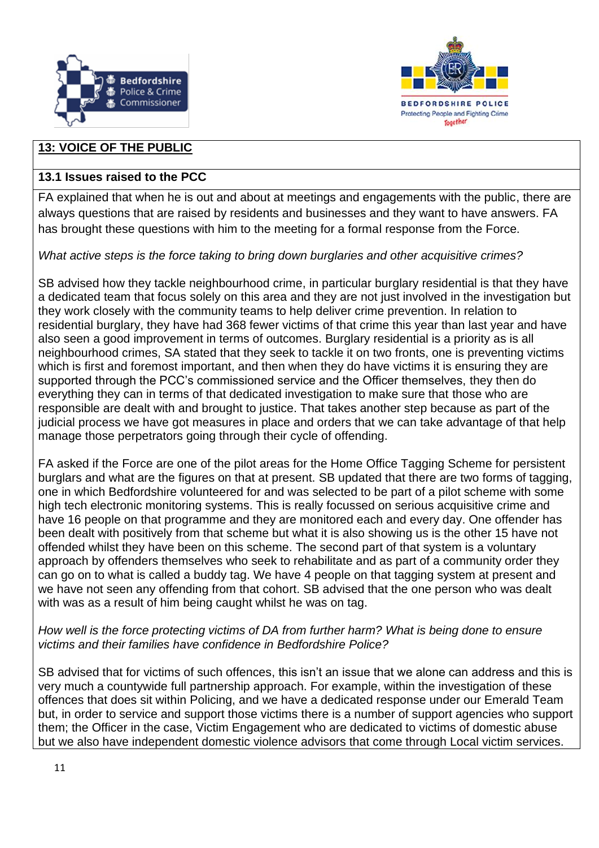



# **13: VOICE OF THE PUBLIC**

# **13.1 Issues raised to the PCC**

FA explained that when he is out and about at meetings and engagements with the public, there are always questions that are raised by residents and businesses and they want to have answers. FA has brought these questions with him to the meeting for a formal response from the Force.

*What active steps is the force taking to bring down burglaries and other acquisitive crimes?*

SB advised how they tackle neighbourhood crime, in particular burglary residential is that they have a dedicated team that focus solely on this area and they are not just involved in the investigation but they work closely with the community teams to help deliver crime prevention. In relation to residential burglary, they have had 368 fewer victims of that crime this year than last year and have also seen a good improvement in terms of outcomes. Burglary residential is a priority as is all neighbourhood crimes, SA stated that they seek to tackle it on two fronts, one is preventing victims which is first and foremost important, and then when they do have victims it is ensuring they are supported through the PCC's commissioned service and the Officer themselves, they then do everything they can in terms of that dedicated investigation to make sure that those who are responsible are dealt with and brought to justice. That takes another step because as part of the judicial process we have got measures in place and orders that we can take advantage of that help manage those perpetrators going through their cycle of offending.

FA asked if the Force are one of the pilot areas for the Home Office Tagging Scheme for persistent burglars and what are the figures on that at present. SB updated that there are two forms of tagging, one in which Bedfordshire volunteered for and was selected to be part of a pilot scheme with some high tech electronic monitoring systems. This is really focussed on serious acquisitive crime and have 16 people on that programme and they are monitored each and every day. One offender has been dealt with positively from that scheme but what it is also showing us is the other 15 have not offended whilst they have been on this scheme. The second part of that system is a voluntary approach by offenders themselves who seek to rehabilitate and as part of a community order they can go on to what is called a buddy tag. We have 4 people on that tagging system at present and we have not seen any offending from that cohort. SB advised that the one person who was dealt with was as a result of him being caught whilst he was on tag.

*How well is the force protecting victims of DA from further harm? What is being done to ensure victims and their families have confidence in Bedfordshire Police?*

SB advised that for victims of such offences, this isn't an issue that we alone can address and this is very much a countywide full partnership approach. For example, within the investigation of these offences that does sit within Policing, and we have a dedicated response under our Emerald Team but, in order to service and support those victims there is a number of support agencies who support them; the Officer in the case, Victim Engagement who are dedicated to victims of domestic abuse but we also have independent domestic violence advisors that come through Local victim services.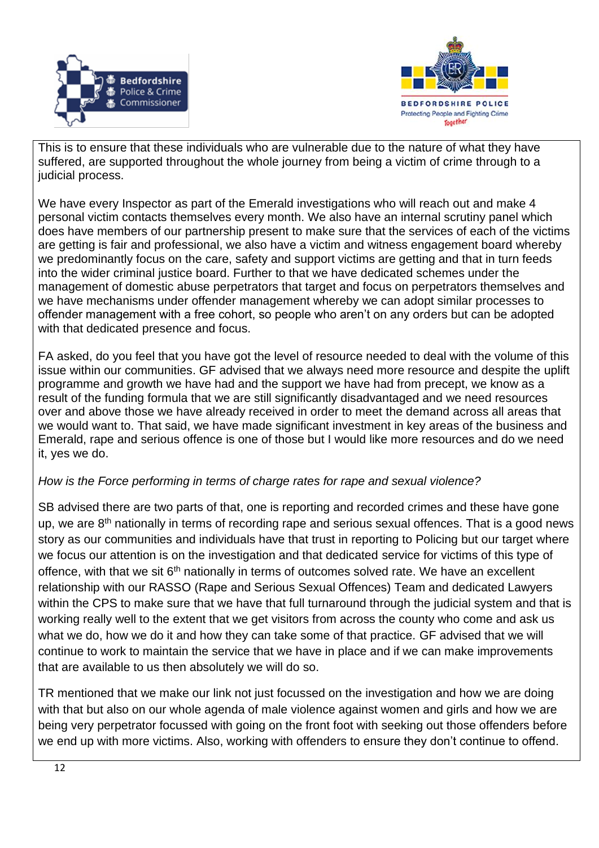



This is to ensure that these individuals who are vulnerable due to the nature of what they have suffered, are supported throughout the whole journey from being a victim of crime through to a judicial process.

We have every Inspector as part of the Emerald investigations who will reach out and make 4 personal victim contacts themselves every month. We also have an internal scrutiny panel which does have members of our partnership present to make sure that the services of each of the victims are getting is fair and professional, we also have a victim and witness engagement board whereby we predominantly focus on the care, safety and support victims are getting and that in turn feeds into the wider criminal justice board. Further to that we have dedicated schemes under the management of domestic abuse perpetrators that target and focus on perpetrators themselves and we have mechanisms under offender management whereby we can adopt similar processes to offender management with a free cohort, so people who aren't on any orders but can be adopted with that dedicated presence and focus.

FA asked, do you feel that you have got the level of resource needed to deal with the volume of this issue within our communities. GF advised that we always need more resource and despite the uplift programme and growth we have had and the support we have had from precept, we know as a result of the funding formula that we are still significantly disadvantaged and we need resources over and above those we have already received in order to meet the demand across all areas that we would want to. That said, we have made significant investment in key areas of the business and Emerald, rape and serious offence is one of those but I would like more resources and do we need it, yes we do.

### *How is the Force performing in terms of charge rates for rape and sexual violence?*

SB advised there are two parts of that, one is reporting and recorded crimes and these have gone up, we are 8<sup>th</sup> nationally in terms of recording rape and serious sexual offences. That is a good news story as our communities and individuals have that trust in reporting to Policing but our target where we focus our attention is on the investigation and that dedicated service for victims of this type of offence, with that we sit 6<sup>th</sup> nationally in terms of outcomes solved rate. We have an excellent relationship with our RASSO (Rape and Serious Sexual Offences) Team and dedicated Lawyers within the CPS to make sure that we have that full turnaround through the judicial system and that is working really well to the extent that we get visitors from across the county who come and ask us what we do, how we do it and how they can take some of that practice. GF advised that we will continue to work to maintain the service that we have in place and if we can make improvements that are available to us then absolutely we will do so.

TR mentioned that we make our link not just focussed on the investigation and how we are doing with that but also on our whole agenda of male violence against women and girls and how we are being very perpetrator focussed with going on the front foot with seeking out those offenders before we end up with more victims. Also, working with offenders to ensure they don't continue to offend.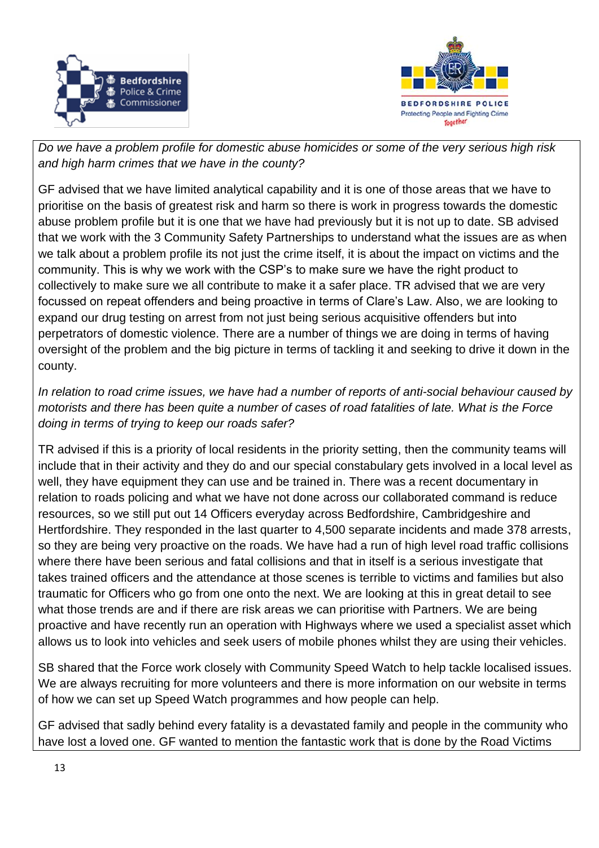



*Do we have a problem profile for domestic abuse homicides or some of the very serious high risk and high harm crimes that we have in the county?*

GF advised that we have limited analytical capability and it is one of those areas that we have to prioritise on the basis of greatest risk and harm so there is work in progress towards the domestic abuse problem profile but it is one that we have had previously but it is not up to date. SB advised that we work with the 3 Community Safety Partnerships to understand what the issues are as when we talk about a problem profile its not just the crime itself, it is about the impact on victims and the community. This is why we work with the CSP's to make sure we have the right product to collectively to make sure we all contribute to make it a safer place. TR advised that we are very focussed on repeat offenders and being proactive in terms of Clare's Law. Also, we are looking to expand our drug testing on arrest from not just being serious acquisitive offenders but into perpetrators of domestic violence. There are a number of things we are doing in terms of having oversight of the problem and the big picture in terms of tackling it and seeking to drive it down in the county.

*In relation to road crime issues, we have had a number of reports of anti-social behaviour caused by motorists and there has been quite a number of cases of road fatalities of late. What is the Force doing in terms of trying to keep our roads safer?*

TR advised if this is a priority of local residents in the priority setting, then the community teams will include that in their activity and they do and our special constabulary gets involved in a local level as well, they have equipment they can use and be trained in. There was a recent documentary in relation to roads policing and what we have not done across our collaborated command is reduce resources, so we still put out 14 Officers everyday across Bedfordshire, Cambridgeshire and Hertfordshire. They responded in the last quarter to 4,500 separate incidents and made 378 arrests, so they are being very proactive on the roads. We have had a run of high level road traffic collisions where there have been serious and fatal collisions and that in itself is a serious investigate that takes trained officers and the attendance at those scenes is terrible to victims and families but also traumatic for Officers who go from one onto the next. We are looking at this in great detail to see what those trends are and if there are risk areas we can prioritise with Partners. We are being proactive and have recently run an operation with Highways where we used a specialist asset which allows us to look into vehicles and seek users of mobile phones whilst they are using their vehicles.

SB shared that the Force work closely with Community Speed Watch to help tackle localised issues. We are always recruiting for more volunteers and there is more information on our website in terms of how we can set up Speed Watch programmes and how people can help.

GF advised that sadly behind every fatality is a devastated family and people in the community who have lost a loved one. GF wanted to mention the fantastic work that is done by the Road Victims